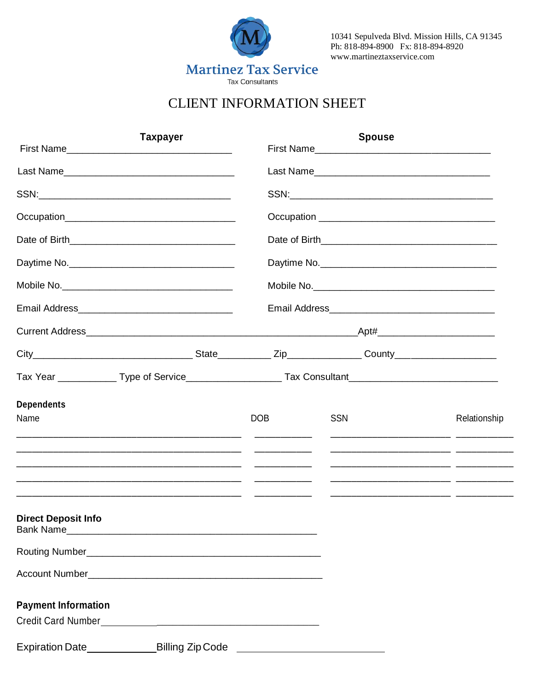

10341 Sepulveda Blvd. Mission Hills, CA 91345 Ph: 818-894-8900 Fx: 818-894-8920 www.martineztaxservice.com

# **CLIENT INFORMATION SHEET**

|                                                                                  | <b>Taxpayer</b> |            |            | <b>Spouse</b> |              |
|----------------------------------------------------------------------------------|-----------------|------------|------------|---------------|--------------|
|                                                                                  |                 |            |            |               |              |
|                                                                                  |                 |            |            |               |              |
|                                                                                  |                 |            |            |               |              |
|                                                                                  |                 |            |            |               |              |
|                                                                                  |                 |            |            | Daytime No.   |              |
|                                                                                  |                 |            |            |               |              |
|                                                                                  |                 |            |            |               |              |
|                                                                                  |                 |            |            |               |              |
|                                                                                  |                 |            |            |               |              |
|                                                                                  |                 |            |            |               |              |
| <b>Dependents</b><br>Name                                                        |                 | <b>DOB</b> | <b>SSN</b> |               | Relationship |
|                                                                                  |                 |            |            |               |              |
|                                                                                  |                 |            |            |               |              |
|                                                                                  |                 |            |            |               |              |
|                                                                                  |                 |            |            |               |              |
| <b>Direct Deposit Info</b><br>Bank Name                                          |                 |            |            |               |              |
|                                                                                  |                 |            |            |               |              |
|                                                                                  |                 |            |            |               |              |
| <b>Payment Information</b>                                                       |                 |            |            |               |              |
| Expiration Date ______________________Billing Zip Code _________________________ |                 |            |            |               |              |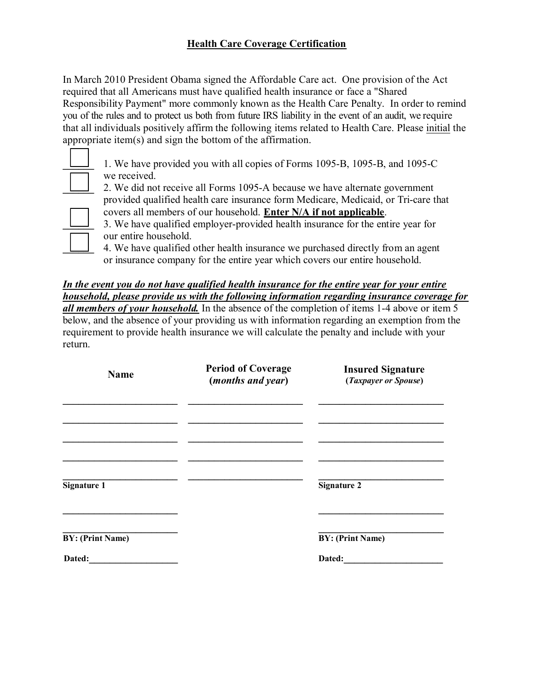### **Health Care Coverage Certification**

In March 2010 President Obama signed the Affordable Care act. One provision of the Act required that all Americans must have qualified health insurance or face a "Shared Responsibility Payment" more commonly known as the Health Care Penalty. In order to remind you of the rules and to protect us both from future IRS liability in the event of an audit, we require that all individuals positively affirm the following items related to Health Care. Please initial the appropriate item(s) and sign the bottom of the affirmation.

**\_\_\_\_\_\_** 1. We have provided you with all copies of Forms 1095-B, 1095-B, and 1095-C we received.

**\_\_\_\_\_\_** 2. We did not receive all Forms 1095-A because we have alternate government provided qualified health care insurance form Medicare, Medicaid, or Tri-care that covers all members of our household. **Enter N/A if not applicable**.

**\_\_\_\_\_\_** 3. We have qualified employer-provided health insurance for the entire year for our entire household.

**\_\_\_\_\_\_** 4. We have qualified other health insurance we purchased directly from an agent or insurance company for the entire year which covers our entire household.

*In the event you do not have qualified health insurance for the entire year for your entire household, please provide us with the following information regarding insurance coverage for all members of your household.* In the absence of the completion of items 1-4 above or item 5 below, and the absence of your providing us with information regarding an exemption from the requirement to provide health insurance we will calculate the penalty and include with your return.

| <b>Name</b>             | <b>Period of Coverage</b><br>( <i>months and year</i> ) | <b>Insured Signature</b><br>(Taxpayer or Spouse) |  |
|-------------------------|---------------------------------------------------------|--------------------------------------------------|--|
|                         |                                                         |                                                  |  |
|                         |                                                         |                                                  |  |
| Signature 1             |                                                         | <b>Signature 2</b>                               |  |
|                         |                                                         |                                                  |  |
| <b>BY: (Print Name)</b> |                                                         | <b>BY:</b> (Print Name)                          |  |
| Dated:                  |                                                         | Dated:                                           |  |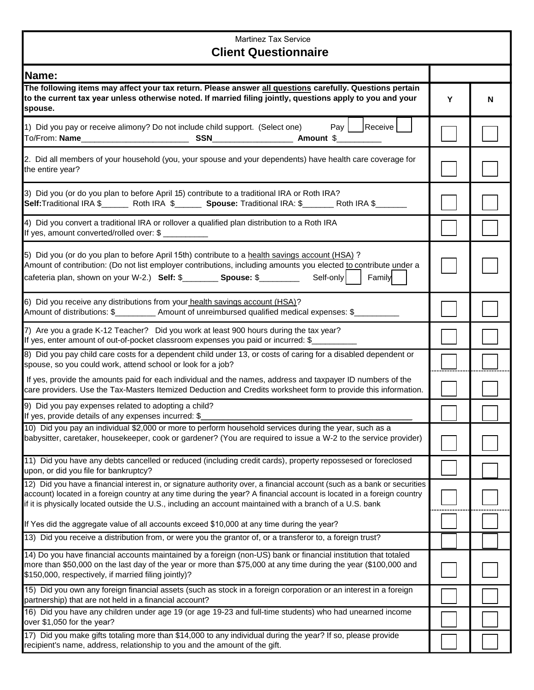### Martinez Tax Service  **Client Questionnaire**

| <b>Client Questionnaire</b>                                                                                                                                                                                                                                                                                                                                      |   |   |  |
|------------------------------------------------------------------------------------------------------------------------------------------------------------------------------------------------------------------------------------------------------------------------------------------------------------------------------------------------------------------|---|---|--|
| Name:                                                                                                                                                                                                                                                                                                                                                            |   |   |  |
| The following items may affect your tax return. Please answer all questions carefully. Questions pertain<br>to the current tax year unless otherwise noted. If married filing jointly, questions apply to you and your<br>spouse.                                                                                                                                | Y | N |  |
| Pay     Receive  <br>1) Did you pay or receive alimony? Do not include child support. (Select one)<br>To/From: Name_____________________________                                                                                                                                                                                                                 |   |   |  |
| 2. Did all members of your household (you, your spouse and your dependents) have health care coverage for<br>the entire year?                                                                                                                                                                                                                                    |   |   |  |
| 3) Did you (or do you plan to before April 15) contribute to a traditional IRA or Roth IRA?<br>Self:Traditional IRA \$_________ Roth IRA \$_________ Spouse: Traditional IRA: \$________ Roth IRA \$________                                                                                                                                                     |   |   |  |
| 4) Did you convert a traditional IRA or rollover a qualified plan distribution to a Roth IRA<br>If yes, amount converted/rolled over: \$                                                                                                                                                                                                                         |   |   |  |
| 5) Did you (or do you plan to before April 15th) contribute to a health savings account (HSA)?<br>Amount of contribution: (Do not list employer contributions, including amounts you elected to contribute under a<br>cafeteria plan, shown on your W-2.) Self: \$_________ Spouse: \$________<br>Self-only<br>Family                                            |   |   |  |
| 6) Did you receive any distributions from your health savings account (HSA)?<br>Amount of distributions: \$____________ Amount of unreimbursed qualified medical expenses: \$_                                                                                                                                                                                   |   |   |  |
| 7) Are you a grade K-12 Teacher? Did you work at least 900 hours during the tax year?<br>If yes, enter amount of out-of-pocket classroom expenses you paid or incurred: \$                                                                                                                                                                                       |   |   |  |
| 8) Did you pay child care costs for a dependent child under 13, or costs of caring for a disabled dependent or<br>spouse, so you could work, attend school or look for a job?                                                                                                                                                                                    |   |   |  |
| If yes, provide the amounts paid for each individual and the names, address and taxpayer ID numbers of the<br>care providers. Use the Tax-Masters Itemized Deduction and Credits worksheet form to provide this information.                                                                                                                                     |   |   |  |
| 9) Did you pay expenses related to adopting a child?<br>If yes, provide details of any expenses incurred: \$                                                                                                                                                                                                                                                     |   |   |  |
| 10) Did you pay an individual \$2,000 or more to perform household services during the year, such as a<br>babysitter, caretaker, housekeeper, cook or gardener? (You are required to issue a W-2 to the service provider)                                                                                                                                        |   |   |  |
| 11) Did you have any debts cancelled or reduced (including credit cards), property repossesed or foreclosed<br>upon, or did you file for bankruptcy?                                                                                                                                                                                                             |   |   |  |
| 12) Did you have a financial interest in, or signature authority over, a financial account (such as a bank or securities<br>account) located in a foreign country at any time during the year? A financial account is located in a foreign country<br>if it is physically located outside the U.S., including an account maintained with a branch of a U.S. bank |   |   |  |
| If Yes did the aggregate value of all accounts exceed \$10,000 at any time during the year?                                                                                                                                                                                                                                                                      |   |   |  |
| 13) Did you receive a distribution from, or were you the grantor of, or a transferor to, a foreign trust?                                                                                                                                                                                                                                                        |   |   |  |
| 14) Do you have financial accounts maintained by a foreign (non-US) bank or financial institution that totaled<br>more than \$50,000 on the last day of the year or more than \$75,000 at any time during the year (\$100,000 and<br>\$150,000, respectively, if married filing jointly)?                                                                        |   |   |  |
| 15) Did you own any foreign financial assets (such as stock in a foreign corporation or an interest in a foreign<br>partnership) that are not held in a financial account?                                                                                                                                                                                       |   |   |  |
| 16) Did you have any children under age 19 (or age 19-23 and full-time students) who had unearned income<br>over \$1,050 for the year?                                                                                                                                                                                                                           |   |   |  |
| 17) Did you make gifts totaling more than \$14,000 to any individual during the year? If so, please provide<br>recipient's name, address, relationship to you and the amount of the gift.                                                                                                                                                                        |   |   |  |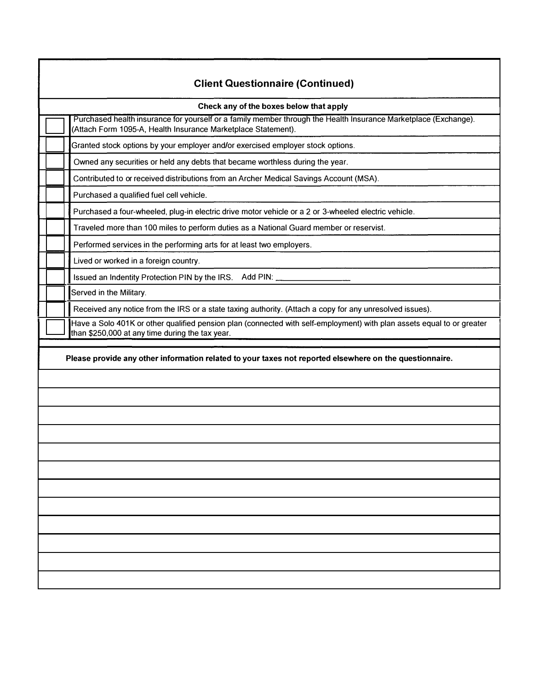| <b>Client Questionnaire (Continued)</b>                                                                                                                                          |  |  |
|----------------------------------------------------------------------------------------------------------------------------------------------------------------------------------|--|--|
| Check any of the boxes below that apply                                                                                                                                          |  |  |
| Purchased health insurance for yourself or a family member through the Health Insurance Marketplace (Exchange).<br>(Attach Form 1095-A, Health Insurance Marketplace Statement). |  |  |
| Granted stock options by your employer and/or exercised employer stock options.                                                                                                  |  |  |
| Owned any securities or held any debts that became worthless during the year.                                                                                                    |  |  |
| Contributed to or received distributions from an Archer Medical Savings Account (MSA).                                                                                           |  |  |
| Purchased a qualified fuel cell vehicle.                                                                                                                                         |  |  |
| Purchased a four-wheeled, plug-in electric drive motor vehicle or a 2 or 3-wheeled electric vehicle.                                                                             |  |  |
| Traveled more than 100 miles to perform duties as a National Guard member or reservist.                                                                                          |  |  |
| Performed services in the performing arts for at least two employers.                                                                                                            |  |  |
| Lived or worked in a foreign country.                                                                                                                                            |  |  |
|                                                                                                                                                                                  |  |  |
| Served in the Military.                                                                                                                                                          |  |  |
| Received any notice from the IRS or a state taxing authority. (Attach a copy for any unresolved issues).                                                                         |  |  |
| Have a Solo 401K or other qualified pension plan (connected with self-employment) with plan assets equal to or greater<br>than \$250,000 at any time during the tax year.        |  |  |
| Please provide any other information related to your taxes not reported elsewhere on the questionnaire.                                                                          |  |  |
|                                                                                                                                                                                  |  |  |
|                                                                                                                                                                                  |  |  |
|                                                                                                                                                                                  |  |  |
|                                                                                                                                                                                  |  |  |
|                                                                                                                                                                                  |  |  |
|                                                                                                                                                                                  |  |  |
|                                                                                                                                                                                  |  |  |
|                                                                                                                                                                                  |  |  |
|                                                                                                                                                                                  |  |  |
|                                                                                                                                                                                  |  |  |
|                                                                                                                                                                                  |  |  |
|                                                                                                                                                                                  |  |  |
|                                                                                                                                                                                  |  |  |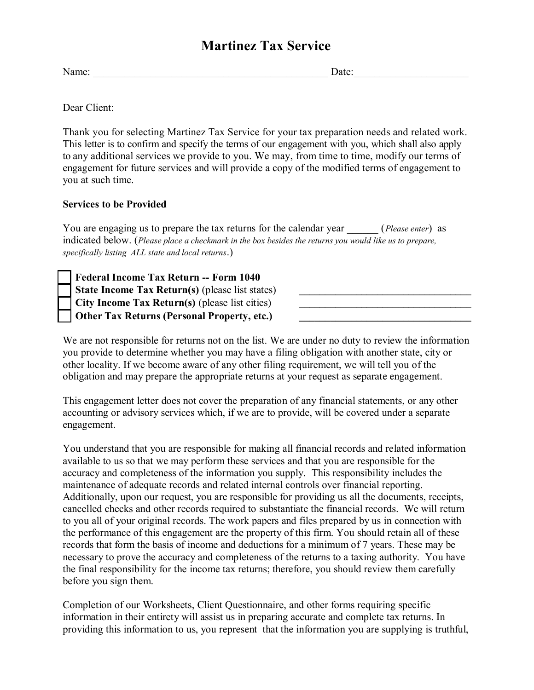## **Martinez Tax Service**

Name: \_\_\_\_\_\_\_\_\_\_\_\_\_\_\_\_\_\_\_\_\_\_\_\_\_\_\_\_\_\_\_\_\_\_\_\_\_\_\_\_\_\_\_\_\_ Date:\_\_\_\_\_\_\_\_\_\_\_\_\_\_\_\_\_\_\_\_\_\_

Dear Client:

Thank you for selecting Martinez Tax Service for your tax preparation needs and related work. This letter is to confirm and specify the terms of our engagement with you, which shall also apply to any additional services we provide to you. We may, from time to time, modify our terms of engagement for future services and will provide a copy of the modified terms of engagement to you at such time.

#### **Services to be Provided**

You are engaging us to prepare the tax returns for the calendar year \_\_\_\_\_\_ (*Please enter*) as indicated below. (*Please place a checkmark in the box besides the returns you would like us to prepare, specifically listing ALL state and local returns*.)

**Federal Income Tax Return -- Form 1040 State Income Tax Return(s)** (please list states) **City Income Tax Return(s)** (please list cities) **\_\_\_\_\_\_\_\_\_\_\_\_\_\_\_\_\_\_\_\_\_\_\_\_\_\_\_\_\_\_\_\_\_ Other Tax Returns (Personal Property, etc.)** 

We are not responsible for returns not on the list. We are under no duty to review the information you provide to determine whether you may have a filing obligation with another state, city or other locality. If we become aware of any other filing requirement, we will tell you of the obligation and may prepare the appropriate returns at your request as separate engagement.

This engagement letter does not cover the preparation of any financial statements, or any other accounting or advisory services which, if we are to provide, will be covered under a separate engagement.

You understand that you are responsible for making all financial records and related information available to us so that we may perform these services and that you are responsible for the accuracy and completeness of the information you supply. This responsibility includes the maintenance of adequate records and related internal controls over financial reporting. Additionally, upon our request, you are responsible for providing us all the documents, receipts, cancelled checks and other records required to substantiate the financial records. We will return to you all of your original records. The work papers and files prepared by us in connection with the performance of this engagement are the property of this firm. You should retain all of these records that form the basis of income and deductions for a minimum of 7 years. These may be necessary to prove the accuracy and completeness of the returns to a taxing authority. You have the final responsibility for the income tax returns; therefore, you should review them carefully before you sign them.

Completion of our Worksheets, Client Questionnaire, and other forms requiring specific information in their entirety will assist us in preparing accurate and complete tax returns. In providing this information to us, you represent that the information you are supplying is truthful,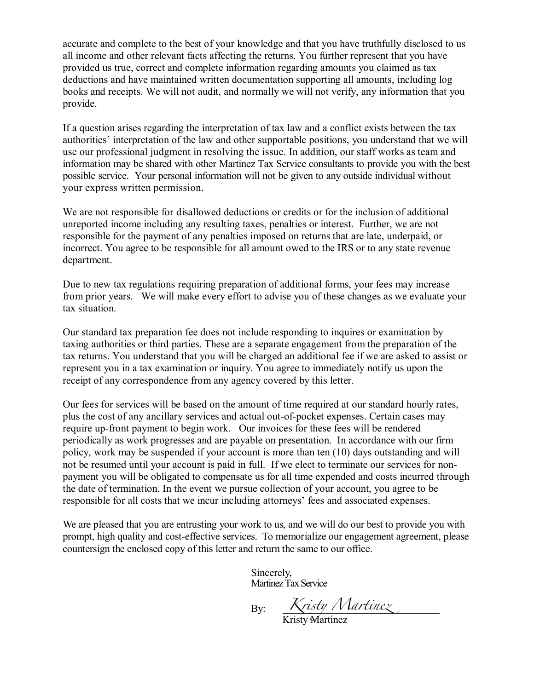accurate and complete to the best of your knowledge and that you have truthfully disclosed to us all income and other relevant facts affecting the returns. You further represent that you have provided us true, correct and complete information regarding amounts you claimed as tax deductions and have maintained written documentation supporting all amounts, including log books and receipts. We will not audit, and normally we will not verify, any information that you provide.

If a question arises regarding the interpretation of tax law and a conflict exists between the tax authorities' interpretation of the law and other supportable positions, you understand that we will use our professional judgment in resolving the issue. In addition, our staff works as team and information may be shared with other Martinez Tax Service consultants to provide you with the best possible service. Your personal information will not be given to any outside individual without your express written permission.

We are not responsible for disallowed deductions or credits or for the inclusion of additional unreported income including any resulting taxes, penalties or interest. Further, we are not responsible for the payment of any penalties imposed on returns that are late, underpaid, or incorrect. You agree to be responsible for all amount owed to the IRS or to any state revenue department.

Due to new tax regulations requiring preparation of additional forms, your fees may increase from prior years. We will make every effort to advise you of these changes as we evaluate your tax situation.

Our standard tax preparation fee does not include responding to inquires or examination by taxing authorities or third parties. These are a separate engagement from the preparation of the tax returns. You understand that you will be charged an additional fee if we are asked to assist or represent you in a tax examination or inquiry. You agree to immediately notify us upon the receipt of any correspondence from any agency covered by this letter.

Our fees for services will be based on the amount of time required at our standard hourly rates, plus the cost of any ancillary services and actual out-of-pocket expenses. Certain cases may require up-front payment to begin work. Our invoices for these fees will be rendered periodically as work progresses and are payable on presentation. In accordance with our firm policy, work may be suspended if your account is more than ten (10) days outstanding and will not be resumed until your account is paid in full. If we elect to terminate our services for nonpayment you will be obligated to compensate us for all time expended and costs incurred through the date of termination. In the event we pursue collection of your account, you agree to be responsible for all costs that we incur including attorneys' fees and associated expenses.

We are pleased that you are entrusting your work to us, and we will do our best to provide you with prompt, high quality and cost-effective services. To memorialize our engagement agreement, please countersign the enclosed copy of this letter and return the same to our office.

> Sincerely, Martinez Tax Service

By:

*Kristy Martinez*

Kristy Martinez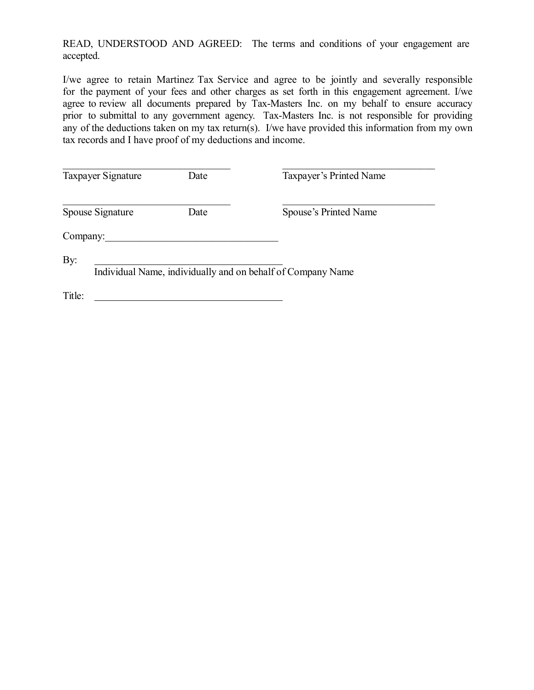READ, UNDERSTOOD AND AGREED: The terms and conditions of your engagement are accepted.

I/we agree to retain Martinez Tax Service and agree to be jointly and severally responsible for the payment of your fees and other charges as set forth in this engagement agreement. I/we agree to review all documents prepared by Tax-Masters Inc. on my behalf to ensure accuracy prior to submittal to any government agency. Tax-Masters Inc. is not responsible for providing any of the deductions taken on my tax return(s). I/we have provided this information from my own tax records and I have proof of my deductions and income.

| Taxpayer Signature | Date | Taxpayer's Printed Name                                     |
|--------------------|------|-------------------------------------------------------------|
| Spouse Signature   | Date | Spouse's Printed Name                                       |
| Company:           |      |                                                             |
| By:                |      | Individual Name, individually and on behalf of Company Name |
| Title:             |      |                                                             |